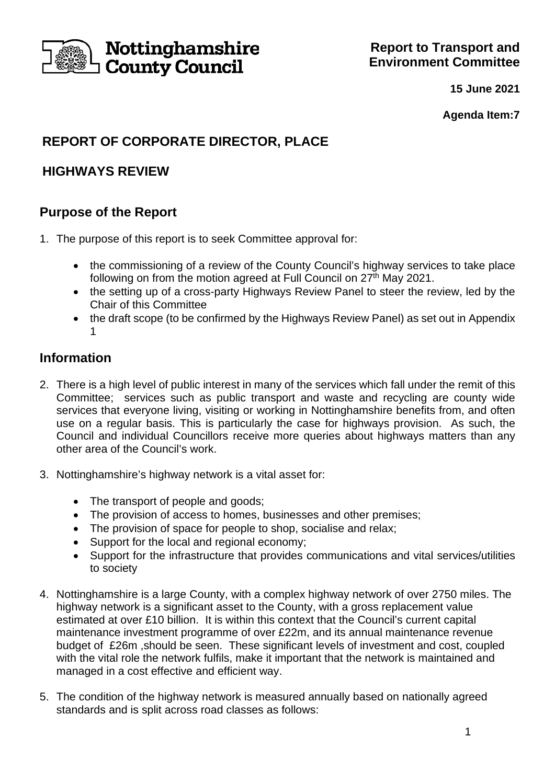

**15 June 2021**

**Agenda Item:7**

# **REPORT OF CORPORATE DIRECTOR, PLACE**

# **HIGHWAYS REVIEW**

# **Purpose of the Report**

- 1. The purpose of this report is to seek Committee approval for:
	- the commissioning of a review of the County Council's highway services to take place following on from the motion agreed at Full Council on 27<sup>th</sup> May 2021.
	- the setting up of a cross-party Highways Review Panel to steer the review, led by the Chair of this Committee
	- the draft scope (to be confirmed by the Highways Review Panel) as set out in Appendix 1

## **Information**

- 2. There is a high level of public interest in many of the services which fall under the remit of this Committee; services such as public transport and waste and recycling are county wide services that everyone living, visiting or working in Nottinghamshire benefits from, and often use on a regular basis. This is particularly the case for highways provision. As such, the Council and individual Councillors receive more queries about highways matters than any other area of the Council's work.
- 3. Nottinghamshire's highway network is a vital asset for:
	- The transport of people and goods;
	- The provision of access to homes, businesses and other premises;
	- The provision of space for people to shop, socialise and relax;
	- Support for the local and regional economy;
	- Support for the infrastructure that provides communications and vital services/utilities to society
- 4. Nottinghamshire is a large County, with a complex highway network of over 2750 miles. The highway network is a significant asset to the County, with a gross replacement value estimated at over £10 billion. It is within this context that the Council's current capital maintenance investment programme of over £22m, and its annual maintenance revenue budget of £26m ,should be seen. These significant levels of investment and cost, coupled with the vital role the network fulfils, make it important that the network is maintained and managed in a cost effective and efficient way.
- 5. The condition of the highway network is measured annually based on nationally agreed standards and is split across road classes as follows: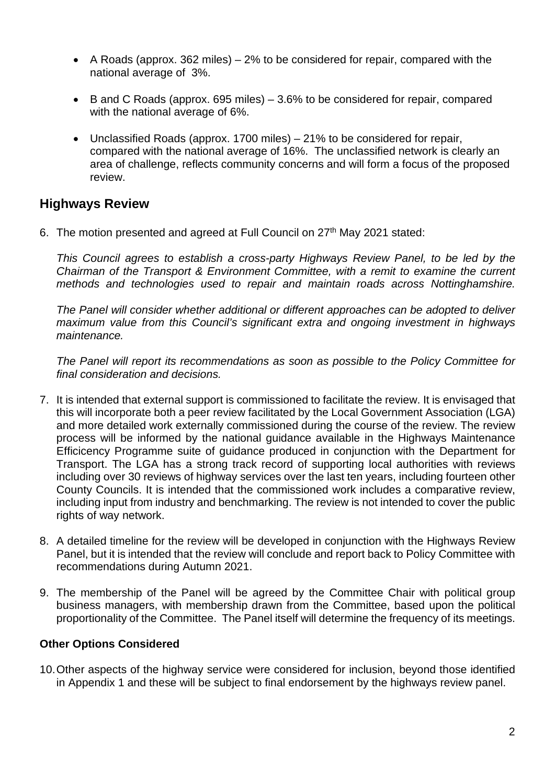- A Roads (approx. 362 miles) 2% to be considered for repair, compared with the national average of 3%.
- B and C Roads (approx. 695 miles) 3.6% to be considered for repair, compared with the national average of 6%.
- Unclassified Roads (approx. 1700 miles) 21% to be considered for repair, compared with the national average of 16%. The unclassified network is clearly an area of challenge, reflects community concerns and will form a focus of the proposed review.

## **Highways Review**

6. The motion presented and agreed at Full Council on 27<sup>th</sup> May 2021 stated:

*This Council agrees to establish a cross-party Highways Review Panel, to be led by the Chairman of the Transport & Environment Committee, with a remit to examine the current methods and technologies used to repair and maintain roads across Nottinghamshire.*

*The Panel will consider whether additional or different approaches can be adopted to deliver maximum value from this Council's significant extra and ongoing investment in highways maintenance.*

*The Panel will report its recommendations as soon as possible to the Policy Committee for final consideration and decisions.*

- 7. It is intended that external support is commissioned to facilitate the review. It is envisaged that this will incorporate both a peer review facilitated by the Local Government Association (LGA) and more detailed work externally commissioned during the course of the review. The review process will be informed by the national guidance available in the Highways Maintenance Efficicency Programme suite of guidance produced in conjunction with the Department for Transport. The LGA has a strong track record of supporting local authorities with reviews including over 30 reviews of highway services over the last ten years, including fourteen other County Councils. It is intended that the commissioned work includes a comparative review, including input from industry and benchmarking. The review is not intended to cover the public rights of way network.
- 8. A detailed timeline for the review will be developed in conjunction with the Highways Review Panel, but it is intended that the review will conclude and report back to Policy Committee with recommendations during Autumn 2021.
- 9. The membership of the Panel will be agreed by the Committee Chair with political group business managers, with membership drawn from the Committee, based upon the political proportionality of the Committee. The Panel itself will determine the frequency of its meetings.

### **Other Options Considered**

10.Other aspects of the highway service were considered for inclusion, beyond those identified in Appendix 1 and these will be subject to final endorsement by the highways review panel.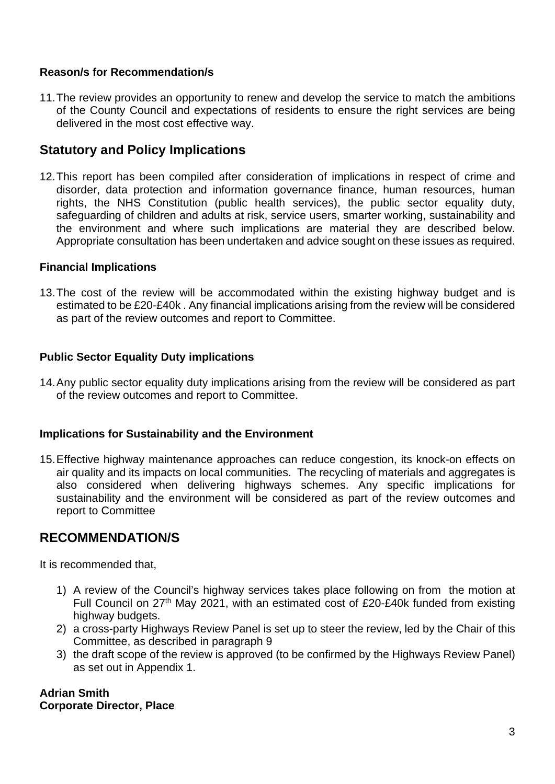### **Reason/s for Recommendation/s**

11.The review provides an opportunity to renew and develop the service to match the ambitions of the County Council and expectations of residents to ensure the right services are being delivered in the most cost effective way.

## **Statutory and Policy Implications**

12.This report has been compiled after consideration of implications in respect of crime and disorder, data protection and information governance finance, human resources, human rights, the NHS Constitution (public health services), the public sector equality duty, safeguarding of children and adults at risk, service users, smarter working, sustainability and the environment and where such implications are material they are described below. Appropriate consultation has been undertaken and advice sought on these issues as required.

#### **Financial Implications**

13.The cost of the review will be accommodated within the existing highway budget and is estimated to be £20-£40k . Any financial implications arising from the review will be considered as part of the review outcomes and report to Committee.

### **Public Sector Equality Duty implications**

14.Any public sector equality duty implications arising from the review will be considered as part of the review outcomes and report to Committee.

#### **Implications for Sustainability and the Environment**

15.Effective highway maintenance approaches can reduce congestion, its knock-on effects on air quality and its impacts on local communities. The recycling of materials and aggregates is also considered when delivering highways schemes. Any specific implications for sustainability and the environment will be considered as part of the review outcomes and report to Committee

### **RECOMMENDATION/S**

It is recommended that,

- 1) A review of the Council's highway services takes place following on from the motion at Full Council on 27<sup>th</sup> May 2021, with an estimated cost of £20-£40k funded from existing highway budgets.
- 2) a cross-party Highways Review Panel is set up to steer the review, led by the Chair of this Committee, as described in paragraph 9
- 3) the draft scope of the review is approved (to be confirmed by the Highways Review Panel) as set out in Appendix 1.

### **Adrian Smith Corporate Director, Place**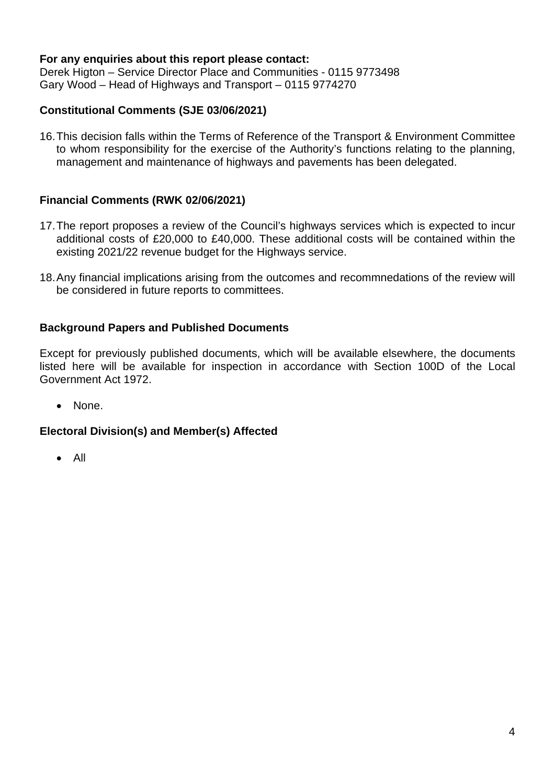### **For any enquiries about this report please contact:**

Derek Higton – Service Director Place and Communities - 0115 9773498 Gary Wood – Head of Highways and Transport – 0115 9774270

### **Constitutional Comments (SJE 03/06/2021)**

16.This decision falls within the Terms of Reference of the Transport & Environment Committee to whom responsibility for the exercise of the Authority's functions relating to the planning, management and maintenance of highways and pavements has been delegated.

### **Financial Comments (RWK 02/06/2021)**

- 17.The report proposes a review of the Council's highways services which is expected to incur additional costs of £20,000 to £40,000. These additional costs will be contained within the existing 2021/22 revenue budget for the Highways service.
- 18.Any financial implications arising from the outcomes and recommnedations of the review will be considered in future reports to committees.

### **Background Papers and Published Documents**

Except for previously published documents, which will be available elsewhere, the documents listed here will be available for inspection in accordance with Section 100D of the Local Government Act 1972.

• None.

### **Electoral Division(s) and Member(s) Affected**

• All